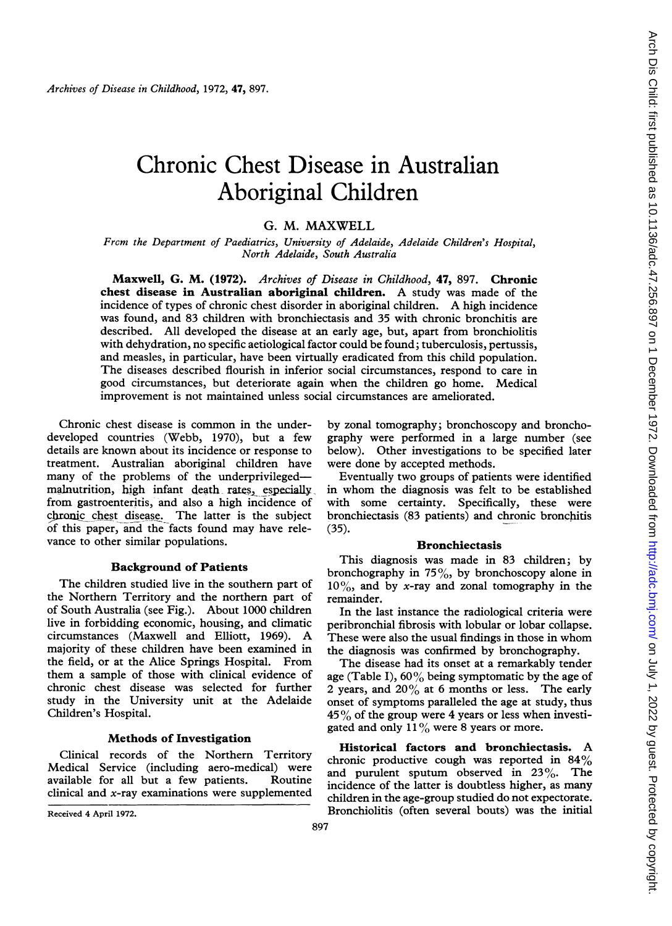# Chronic Chest Disease in Australian Aboriginal Children

## G. M. MAXWELL

From the Department of Paediatrics, University of Adelaide, Adelaide Children's Hospital, North Adelaide, South Australia

Maxwell, G. M. (1972). Archives of Disease in Childhood, 47, 897. Chronic chest disease in Australian aboriginal children. A study was made of the incidence of types of chronic chest disorder in aboriginal children. A high incidence was found, and 83 children with bronchiectasis and 35 with chronic bronchitis are described. All developed the disease at an early age, but, apart from bronchiolitis with dehydration, no specific aetiological factor could be found; tuberculosis, pertussis, and measles, in particular, have been virtually eradicated from this child population. The diseases described flourish in inferior social circumstances, respond to care in good circumstances, but deteriorate again when the children go home. Medical improvement is not maintained unless social circumstances are ameliorated.

Chronic chest disease is common in the underdeveloped countries (Webb, 1970), but a few details are known about its incidence or response to treatment. Australian aboriginal children have many of the problems of the underprivilegedmalnutrition, high infant death rates, especially from gastroenteritis, and also a high incidence of chronic chest disease. The latter is the subject of this paper, and the facts found may have relevance to other similar populations.

## Background of Patients

The children studied live in the southern part of the Northern Territory and the northern part of of South Australia (see Fig.). About 1000 children live in forbidding economic, housing, and climatic circumstances (Maxwell and Elliott, 1969). A majority of these children have been examined in the field, or at the Alice Springs Hospital. From them a sample of those with clinical evidence of chronic chest disease was selected for further study in the University unit at the Adelaide Children's Hospital.

#### Methods of Investigation

Clinical records of the Northern Territory Medical Service (including aero-medical) were available for all but a few patients. Routine clinical and  $x$ -ray examinations were supplemented

Received 4 April 1972.

by zonal tomography; bronchoscopy and bronchography were performed in a large number (see below). Other investigations to be specified later were done by accepted methods.

Eventually two groups of patients were identified in whom the diagnosis was felt to be established with some certainty. Specifically, these were bronchiectasis (83 patients) and chronic bronchitis (35).

#### Bronchiectasis

This diagnosis was made in 83 children; by bronchography in  $75\%$ , by bronchoscopy alone in  $10\%$ , and by x-ray and zonal tomography in the remainder.

In the last instance the radiological criteria were peribronchial fibrosis with lobular or lobar collapse. These were also the usual findings in those in whom the diagnosis was confirmed by bronchography.

The disease had its onset at a remarkably tender age (Table I),  $60\%$  being symptomatic by the age of 2 years, and  $20\%$  at 6 months or less. The early onset of symptoms paralleled the age at study, thus  $45\%$  of the group were 4 years or less when investigated and only  $11\%$  were 8 years or more.

Historical factors and bronchiectasis. A chronic productive cough was reported in 84%<br>and purulent sputum observed in 23%. The and purulent sputum observed in  $23\%$ . incidence of the latter is doubtless higher, as many children in the age-group studied do not expectorate. Bronchiolitis (often several bouts) was the initial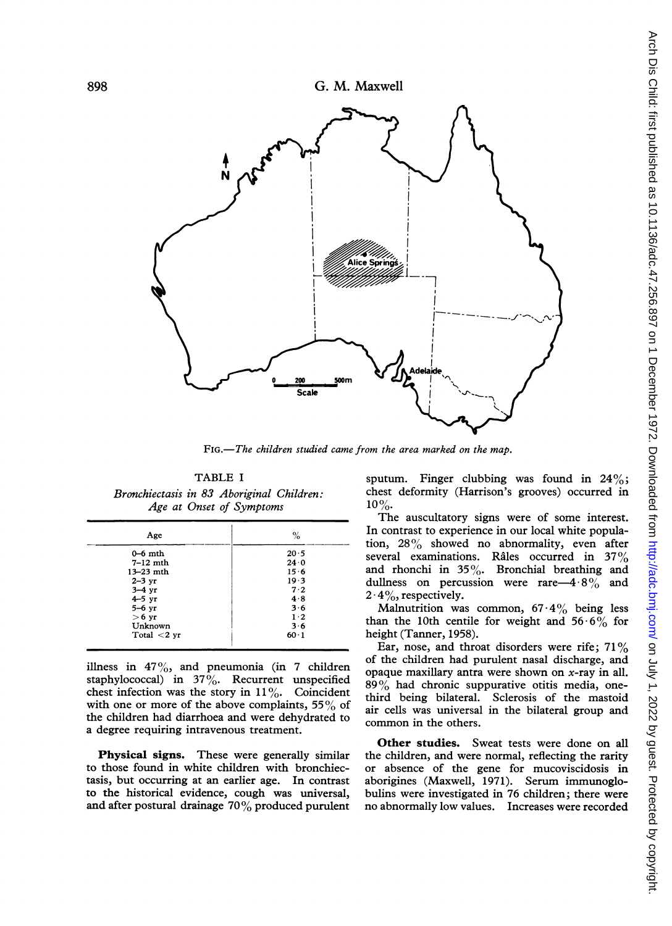



FIG.-The children studied came from the area marked on the map.

TABLE <sup>I</sup> Bronchiectasis in 83 Aboriginal Children: Age at Onset of Symptoms

| Age            | %           |  |
|----------------|-------------|--|
| $0-6$ mth      | 20.5        |  |
| $7-12$ mth     | 24.0        |  |
| $13 - 23$ mth  | 15.6        |  |
| $2-3$ yr       | 19.3        |  |
| $3-4$ yr       | 7.2         |  |
| $4 - 5$ yr     | 4.8         |  |
| $5-6$ yr       | 3.6         |  |
| $>6$ yr        | $1 \cdot 2$ |  |
| Unknown        | 3.6         |  |
| Total $<$ 2 yr | $60 - 1$    |  |

illness in  $47\%$ , and pneumonia (in 7 children staphylococcal) in  $37\%$ . Recurrent unspecified chest infection was the story in  $11\%$ . Coincident with one or more of the above complaints,  $55\%$  of the children had diarrhoea and were dehydrated to a degree requiring intravenous treatment.

Physical signs. These were generally similar to those found in white children with bronchiectasis, but occurring at an earlier age. In contrast to the historical evidence, cough was universal, and after postural drainage 70% produced purulent sputum. Finger clubbing was found in  $24\%$ ; chest deformity (Harrison's grooves) occurred in 10%.

The auscultatory signs were of some interest. In contrast to experience in our local white population, 28% showed no abnormality, even after several examinations. Râles occurred in 37% and rhonchi in  $35\%$ . Bronchial breathing and dullness on percussion were rare-4  $8\%$  and  $2 \cdot 4\%,$  respectively.

Malnutrition was common,  $67.4\%$  being less than the 10th centile for weight and  $56.6\%$  for height (Tanner, 1958).

Ear, nose, and throat disorders were rife;  $71\%$ of the children had purulent nasal discharge, and opaque maxillary antra were shown on  $x$ -ray in all.  $89\%$  had chronic suppurative otitis media, onethird being bilateral. Sclerosis of the mastoid air cells was universal in the bilateral group and common in the others.

Other studies. Sweat tests were done on all the children, and were normal, reflecting the rarity or absence of the gene for mucoviscidosis in aborigines (Maxwell, 1971). Serum immunoglobulins were investigated in 76 children; there were no abnormally low values. Increases were recorded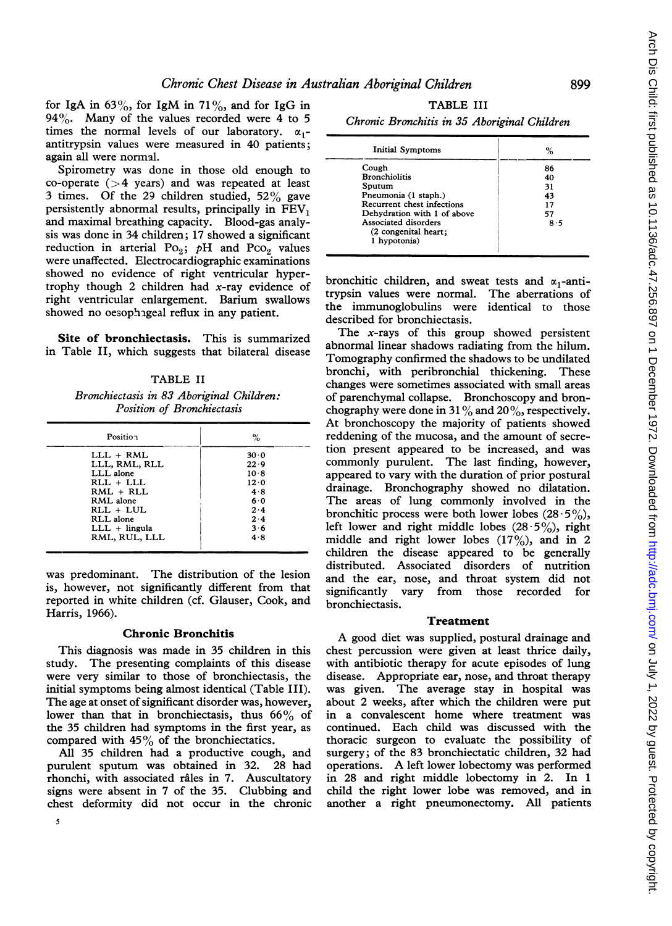for IgA in  $63\%$ , for IgM in  $71\%$ , and for IgG in 94%. Many of the values recorded were 4 to 5 times the normal levels of our laboratory.  $\alpha_1$ antitrypsin values were measured in 40 patients; again all were normal.

Spirometry was done in those old enough to co-operate  $(>4$  years) and was repeated at least 3 times. Of the 29 children studied,  $52\%$  gave persistently abnormal results, principally in  $FEV<sub>1</sub>$ and maximal breathing capacity. Blood-gas analysis was done in 34 children; 17 showed a significant reduction in arterial Po<sub>2</sub>; pH and Pco<sub>2</sub> values were unaffected. Electrocardiographic examinations showed no evidence of right ventricular hypertrophy though 2 children had  $x$ -ray evidence of right ventricular enlargement. Barium swallows showed no oesophageal reflux in any patient.

Site of bronchiectasis. This is summarized in Table II, which suggests that bilateral disease

TABLE II Bronchiectasis in 83 Aboriginal Children: Position of Bronchiectasis

| Position        | %    |
|-----------------|------|
| $LLL + RML$     | 30.0 |
| LLL, RML, RLL   | 22.9 |
| LLL alone       | 10.8 |
| RLL + LLL       | 12.0 |
| $RML + RLL$     | 4.8  |
| RML alone       | 6.0  |
| $RLL + LUL$     | 2.4  |
| RLL alone       | 2.4  |
| $LLL + lingula$ | 3.6  |
| RML. RUL. LLL   | 4.8  |

was predominant. The distribution of the lesion is, however, not significantly different from that reported in white children (cf. Glauser, Cook, and Harris, 1966).

## Chronic Bronchitis

This diagnosis was made in 35 children in this study. The presenting complaints of this disease were very similar to those of bronchiectasis, the initial symptoms being almost identical (Table III). The age at onset of significant disorder was, however, lower than that in bronchiectasis, thus  $66\%$  of the 35 children had symptoms in the first year, as compared with  $45\%$  of the bronchiectatics.

All 35 children had a productive cough, and<br>1911 under the spatist spatist and the spatist and the spatist Andrew purulent sputum was obtained in 32. rhonchi, with associated râles in 7. Auscultatory signs were absent in 7 of the 35. Clubbing and chest deformity did not occur in the chronic

TABLE III

Chronic Bronchitis in 35 Aboriginal Children

| <b>Initial Symptoms</b>     | %   |
|-----------------------------|-----|
| Cough                       | 86  |
| <b>Bronchiolitis</b>        | 40  |
| Sputum                      | 31  |
| Pneumonia (1 staph.)        | 43  |
| Recurrent chest infections  | 17  |
| Dehydration with 1 of above | 57  |
| Associated disorders        | 8.5 |
| (2 congenital heart;        |     |
| 1 hypotonia)                |     |

bronchitic children, and sweat tests and  $\alpha_1$ -anti-<br>trypsin values were normal. The aberrations of trypsin values were normal. the immunoglobulins were identical to those described for bronchiectasis.

The  $x$ -rays of this group showed persistent abnormal linear shadows radiating from the hilum. Tomography confirmed the shadows to be undilated bronchi, with peribronchial thickening. These changes were sometimes associated with small areas of parenchymal collapse. Bronchoscopy and bronchography were done in 31% and 20%, respectively. At bronchoscopy the majority of patients showed reddening of the mucosa, and the amount of secretion present appeared to be increased, and was commonly purulent. The last finding, however, appeared to vary with the duration of prior postural drainage. Bronchography showed no dilatation. The areas of lung commonly involved in the bronchitic process were both lower lobes  $(28.5\%)$ , left lower and right middle lobes  $(28.5\%)$ , right middle and right lower lobes  $(17\%)$ , and in 2 children the disease appeared to be generally distributed. Associated disorders of nutrition and the ear, nose, and throat system did not significantly vary from those recorded for bronchiectasis.

#### Treatment

A good diet was supplied, postural drainage and chest percussion were given at least thrice daily, with antibiotic therapy for acute episodes of lung disease. Appropriate ear, nose, and throat therapy was given. The average stay in hospital was about 2 weeks, after which the children were put in a convalescent home where treatment was continued. Each child was discussed with the thoracic surgeon to evaluate the possibility of surgery; of the 83 bronchiectatic children, 32 had operations. A left lower lobectomy was performed in 28 and right middle lobectomy in 2. In <sup>1</sup> child the right lower lobe was removed, and in another a right pneumonectomy. All patients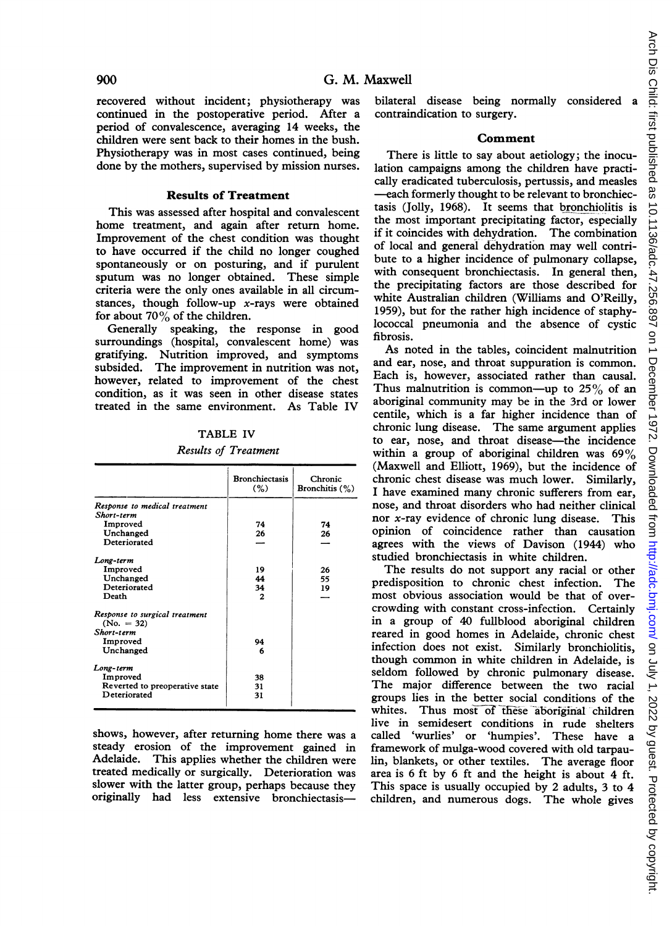recovered without incident; physiotherapy was continued in the postoperative period. After a period of convalescence, averaging 14 weeks, the children were sent back to their homes in the bush. Physiotherapy was in most cases continued, being done by the mothers, supervised by mission nurses.

### Results of Treatment

This was assessed after hospital and convalescent home treatment, and again after return home. Improvement of the chest condition was thought to have occurred if the child no longer coughed spontaneously or on posturing, and if purulent sputum was no longer obtained. These simple criteria were the only ones available in all circumstances, though follow-up  $x$ -rays were obtained for about  $70\%$  of the children.

Generally speaking, the response in good surroundings (hospital, convalescent home) was gratifying. Nutrition improved, and symptoms subsided. The improvement in nutrition was not, however, related to improvement of the chest condition, as it was seen in other disease states treated in the same environment. As Table IV

TABLE IV

# Results of Treatment

|                                                | <b>Bronchiectasis</b><br>(%) | Chronic<br>Bronchitis $(\%)$ |
|------------------------------------------------|------------------------------|------------------------------|
| Response to medical treatment                  |                              |                              |
| Short-term                                     |                              |                              |
| Improved                                       | 74                           | 74                           |
| Unchanged                                      | 26                           | 26                           |
| Deteriorated                                   |                              |                              |
| Long-term                                      |                              |                              |
| Improved                                       | 19                           | 26                           |
| Unchanged                                      | 44                           | 55                           |
| Deteriorated                                   | 34                           | 19                           |
| Death                                          | 2                            |                              |
| Response to surgical treatment<br>$(No. = 32)$ |                              |                              |
| Short-term                                     |                              |                              |
| Improved                                       | 94                           |                              |
| Unchanged                                      | 6                            |                              |
| Long-term                                      |                              |                              |
| Improved                                       | 38                           |                              |
| Reverted to preoperative state                 | 31                           |                              |
| Deteriorated                                   | 31                           |                              |

shows, however, after returning home there was a steady erosion of the improvement gained in Adelaide. This applies whether the children were treated medically or surgically. Deterioration was slower with the latter group, perhaps because they originally had less extensive bronchiectasisbilateral disease being normally considered contraindication to surgery.

#### Comment

There is little to say about aetiology; the inoculation campaigns among the children have practically eradicated tuberculosis, pertussis, and measles -each formerly thought to be relevant to bronchiectasis (Jolly, 1968). It seems that bronchiolitis is the most important precipitating factor, especially if it coincides with dehydration. The combination of local and general dehydration may well contribute to a higher incidence of pulmonary collapse, with consequent bronchiectasis. In general then, the precipitating factors are those described for white Australian children (Williams and O'Reilly, 1959), but for the rather high incidence of staphylococcal pneumonia and the absence of cystic fibrosis.

As noted in the tables, coincident malnutrition and ear, nose, and throat suppuration is common. Each is, however, associated rather than causal. Thus malnutrition is common-up to  $25\%$  of an aboriginal community may be in the 3rd or lower centile, which is a far higher incidence than of chronic lung disease. The same argument applies to ear, nose, and throat disease—the incidence within <sup>a</sup> group of aboriginal children was 69% (Maxwell and Elliott, 1969), but the incidence of chronic chest disease was much lower. Similarly, <sup>I</sup> have examined many chronic sufferers from ear, nose, and throat disorders who had neither clinical nor x-ray evidence of chronic lung disease. This opinion of coincidence rather than causation agrees with the views of Davison (1944) who studied bronchiectasis in white children.

The results do not support any racial or other predisposition to chronic chest infection. The most obvious association would be that of overcrowding with constant cross-infection. Certainly in a group of 40 fullblood aboriginal children reared in good homes in Adelaide, chronic chest infection does not exist. Similarly bronchiolitis, though common in white children in Adelaide, is seldom followed by chronic pulmonary disease. The major difference between the two racial groups lies in the better social conditions of the whites. Thus most of these aboriginal children live in semidesert conditions in rude shelters called 'wurlies' or 'humpies'. These have a framework of mulga-wood covered with old tarpaulin, blankets, or other textiles. The average floor area is 6 ft by 6 ft and the height is about 4 ft. This space is usually occupied by 2 adults, 3 to 4 children, and numerous dogs. The whole gives